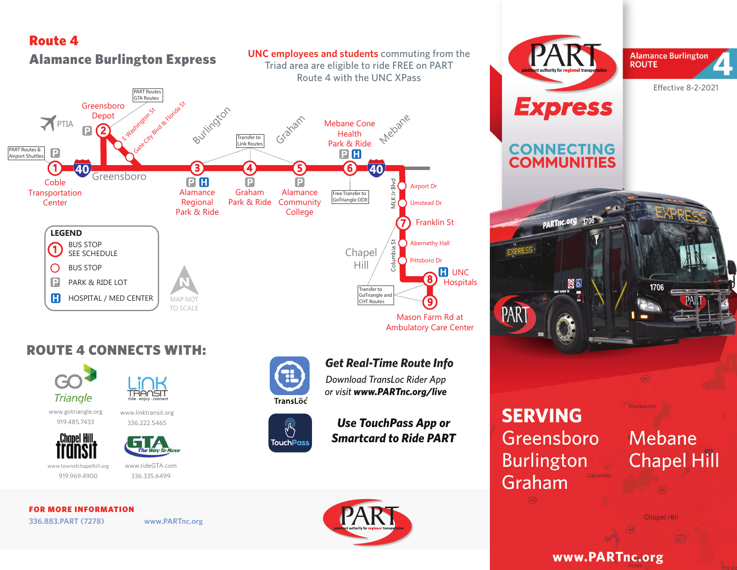## Route 4



## ROUTE 4 CONNECTS WITH:





www.linktransit.org 336.222.5465

www.gotriangle.org 919.485.7433



The Way To Move

www.townofchapelhill.org 919.969.4900

www.rideGTA.com 336.335.6499

#### FOR MORE INFORMATION

**336.883.PART (7278) www.PARTnc.org**



 $\sqrt[3]{\frac{1}{2}}$ 

**TouchPass** 

## *Get Real-Time Route Info*

Ambulatory Care Center

*Download TransLoc Rider App or visit www.PARTnc.org/live*

## *Use TouchPass App or Smartcard to Ride PART*



# **SERVING** Greensboro **Burlington** Graham

PAR

**Express** 

**CONNECTING**<br>**COMMUNITIES** 

PARTnc.org 1706

86

# **Mebane Chapel Hill**

**Chapel Hill** 

1706

Blackwood

www.PARTnc.org